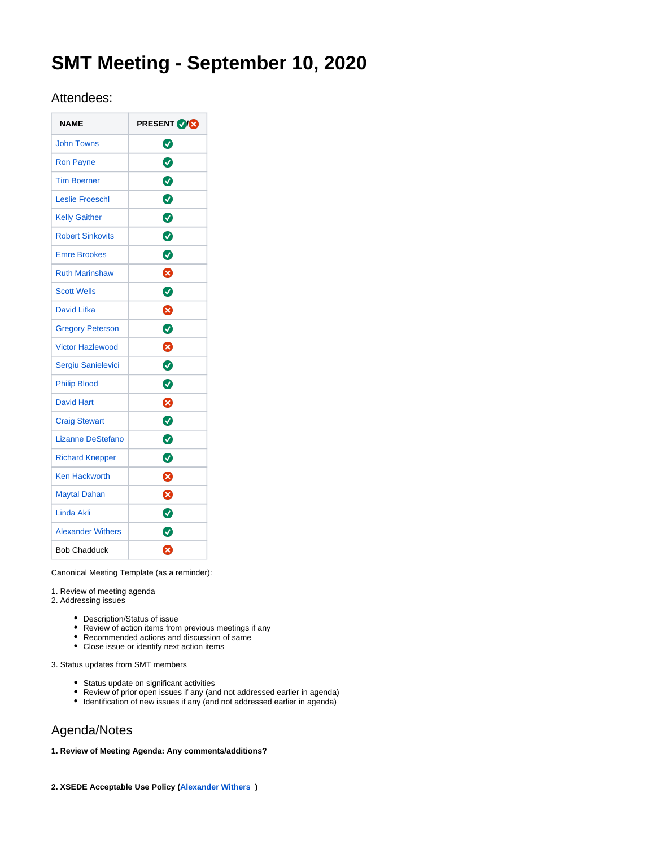# **SMT Meeting - September 10, 2020**

# Attendees:

| <b>NAME</b>              | <b>PRESENT VICE</b> |
|--------------------------|---------------------|
| <b>John Towns</b>        | Ø                   |
| <b>Ron Payne</b>         | $\bullet$           |
| <b>Tim Boerner</b>       | 0                   |
| <b>Leslie Froeschl</b>   | $\bullet$           |
| <b>Kelly Gaither</b>     | Ø                   |
| <b>Robert Sinkovits</b>  | $\bullet$           |
| <b>Emre Brookes</b>      | Ø                   |
| <b>Ruth Marinshaw</b>    | ೞ                   |
| <b>Scott Wells</b>       | ◙                   |
| David Lifka              | Ø                   |
| <b>Gregory Peterson</b>  | Ø                   |
| <b>Victor Hazlewood</b>  | ⊗                   |
| Sergiu Sanielevici       | ◙                   |
| <b>Philip Blood</b>      | Ø                   |
| <b>David Hart</b>        | ☎                   |
| <b>Craig Stewart</b>     | ◙                   |
| Lizanne DeStefano        | 0                   |
| <b>Richard Knepper</b>   | Ø                   |
| <b>Ken Hackworth</b>     | ظ                   |
| <b>Maytal Dahan</b>      | ೞ                   |
| Linda Akli               | ◙                   |
| <b>Alexander Withers</b> | Ø                   |
| <b>Bob Chadduck</b>      | ظ                   |

Canonical Meeting Template (as a reminder):

1. Review of meeting agenda

- 2. Addressing issues
	- Description/Status of issue
	- Review of action items from previous meetings if any
	- Recommended actions and discussion of same
	- Close issue or identify next action items

3. Status updates from SMT members

- Status update on significant activities
- Review of prior open issues if any (and not addressed earlier in agenda)
- Identification of new issues if any (and not addressed earlier in agenda)

# Agenda/Notes

# **1. Review of Meeting Agenda: Any comments/additions?**

**2. XSEDE Acceptable Use Policy [\(Alexander Withers](https://confluence.xsede.org/display/~awithers) )**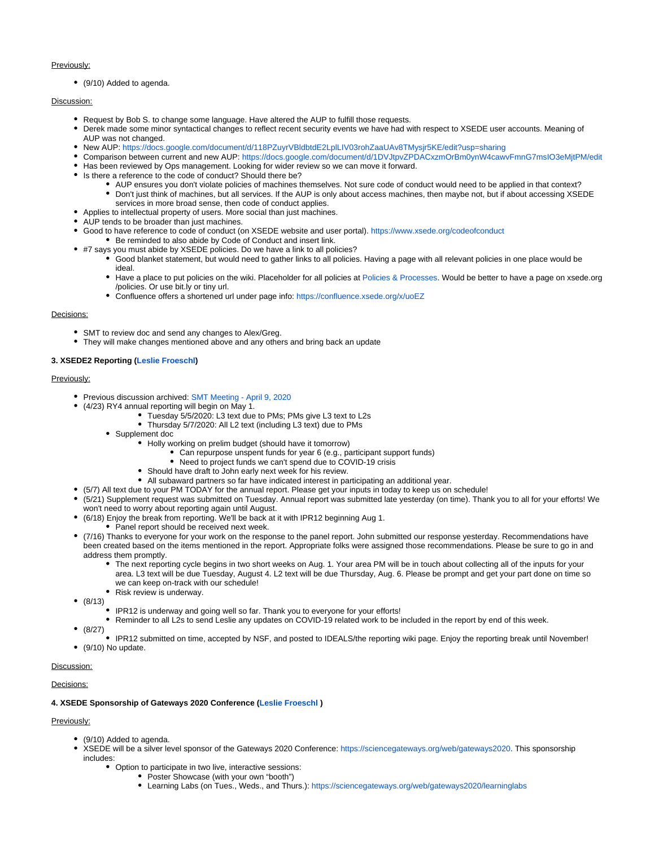#### Previously:

(9/10) Added to agenda.

# Discussion:

- Request by Bob S. to change some language. Have altered the AUP to fulfill those requests.
- Derek made some minor syntactical changes to reflect recent security events we have had with respect to XSEDE user accounts. Meaning of AUP was not changed.
- New AUP: <https://docs.google.com/document/d/118PZuyrVBldbtdE2LplLIV03rohZaaUAv8TMysjr5KE/edit?usp=sharing>
- Comparison between current and new AUP:<https://docs.google.com/document/d/1DVJtpvZPDACxzmOrBm0ynW4cawvFmnG7msIO3eMjtPM/edit>
- Has been reviewed by Ops management. Looking for wider review so we can move it forward. • Is there a reference to the code of conduct? Should there be?
	- AUP ensures you don't violate policies of machines themselves. Not sure code of conduct would need to be applied in that context? Don't just think of machines, but all services. If the AUP is only about access machines, then maybe not, but if about accessing XSEDE services in more broad sense, then code of conduct applies.
- Applies to intellectual property of users. More social than just machines.
- AUP tends to be broader than just machines.
- Good to have reference to code of conduct (on XSEDE website and user portal). <https://www.xsede.org/codeofconduct>
- Be reminded to also abide by Code of Conduct and insert link. #7 says you must abide by XSEDE policies. Do we have a link to all policies?
	- Good blanket statement, but would need to gather links to all policies. Having a page with all relevant policies in one place would be ideal.
		- Have a place to put policies on the wiki. Placeholder for all policies at [Policies & Processes](https://confluence.xsede.org/pages/viewpage.action?pageId=1671610). Would be better to have a page on xsede.org /policies. Or use bit.ly or tiny url.
			- Confluence offers a shortened url under page info:<https://confluence.xsede.org/x/uoEZ>

#### Decisions:

- SMT to review doc and send any changes to Alex/Greg.
- They will make changes mentioned above and any others and bring back an update

# **3. XSEDE2 Reporting [\(Leslie Froeschl\)](https://confluence.xsede.org/display/~lfroesch)**

# Previously:

- Previous discussion archived: [SMT Meeting April 9, 2020](https://confluence.xsede.org/display/XT/SMT+Meeting+-+April+9%2C+2020)
- (4/23) RY4 annual reporting will begin on May 1.
	- Tuesday 5/5/2020: L3 text due to PMs; PMs give L3 text to L2s
		- Thursday 5/7/2020: All L2 text (including L3 text) due to PMs
	- Supplement doc
		- Holly working on prelim budget (should have it tomorrow)
			- Can repurpose unspent funds for year 6 (e.g., participant support funds)
			- Need to project funds we can't spend due to COVID-19 crisis
		- Should have draft to John early next week for his review.
		- All subaward partners so far have indicated interest in participating an additional year.
- (5/7) All text due to your PM TODAY for the annual report. Please get your inputs in today to keep us on schedule!
- (5/21) Supplement request was submitted on Tuesday. Annual report was submitted late yesterday (on time). Thank you to all for your efforts! We won't need to worry about reporting again until August.
- (6/18) Enjoy the break from reporting. We'll be back at it with IPR12 beginning Aug 1.
	- Panel report should be received next week.
- (7/16) Thanks to everyone for your work on the response to the panel report. John submitted our response yesterday. Recommendations have been created based on the items mentioned in the report. Appropriate folks were assigned those recommendations. Please be sure to go in and address them promptly.
	- The next reporting cycle begins in two short weeks on Aug. 1. Your area PM will be in touch about collecting all of the inputs for your area. L3 text will be due Tuesday, August 4. L2 text will be due Thursday, Aug. 6. Please be prompt and get your part done on time so we can keep on-track with our schedule!
	- Risk review is underway.
- $(8/13)$ 
	- IPR12 is underway and going well so far. Thank you to everyone for your efforts!
	- Reminder to all L2s to send Leslie any updates on COVID-19 related work to be included in the report by end of this week.
- (8/27)
- IPR12 submitted on time, accepted by NSF, and posted to IDEALS/the reporting wiki page. Enjoy the reporting break until November! (9/10) No update.

# Discussion:

#### Decisions:

# **4. XSEDE Sponsorship of Gateways 2020 Conference ([Leslie Froeschl](https://confluence.xsede.org/display/~lfroesch) )**

# Previously:

- (9/10) Added to agenda.
- XSEDE will be a silver level sponsor of the Gateways 2020 Conference: <https://sciencegateways.org/web/gateways2020>. This sponsorship includes:
	- Option to participate in two live, interactive sessions:
		- Poster Showcase (with your own "booth")
		- Learning Labs (on Tues., Weds., and Thurs.):<https://sciencegateways.org/web/gateways2020/learninglabs>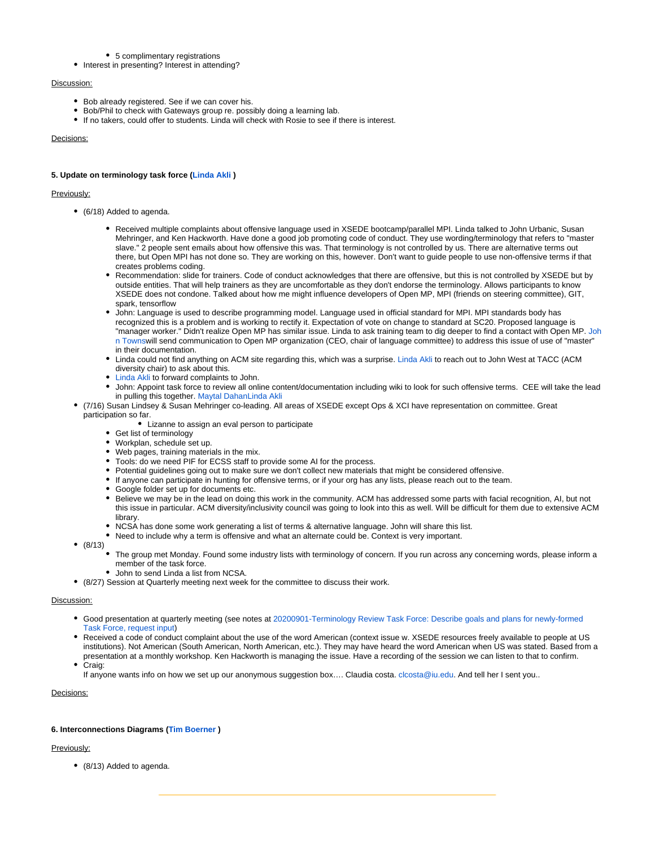#### • 5 complimentary registrations

• Interest in presenting? Interest in attending?

#### Discussion:

- Bob already registered. See if we can cover his.
- Bob/Phil to check with Gateways group re. possibly doing a learning lab.
- If no takers, could offer to students. Linda will check with Rosie to see if there is interest.

#### Decisions:

# **5. Update on terminology task force [\(Linda Akli](https://confluence.xsede.org/display/~lakli) )**

#### Previously:

- (6/18) Added to agenda.
	- Received multiple complaints about offensive language used in XSEDE bootcamp/parallel MPI. Linda talked to John Urbanic, Susan Mehringer, and Ken Hackworth. Have done a good job promoting code of conduct. They use wording/terminology that refers to "master slave." 2 people sent emails about how offensive this was. That terminology is not controlled by us. There are alternative terms out there, but Open MPI has not done so. They are working on this, however. Don't want to guide people to use non-offensive terms if that creates problems coding.
	- Recommendation: slide for trainers. Code of conduct acknowledges that there are offensive, but this is not controlled by XSEDE but by outside entities. That will help trainers as they are uncomfortable as they don't endorse the terminology. Allows participants to know XSEDE does not condone. Talked about how me might influence developers of Open MP, MPI (friends on steering committee), GIT, spark, tensorflow
	- John: Language is used to describe programming model. Language used in official standard for MPI. MPI standards body has recognized this is a problem and is working to rectify it. Expectation of vote on change to standard at SC20. Proposed language is "manager worker." Didn't realize Open MP has similar issue. Linda to ask training team to dig deeper to find a contact with Open MP. [Joh](https://confluence.xsede.org/display/~jtowns) [n Towns](https://confluence.xsede.org/display/~jtowns)will send communication to Open MP organization (CEO, chair of language committee) to address this issue of use of "master" in their documentation.
	- Linda could not find anything on ACM site regarding this, which was a surprise. [Linda Akli](https://confluence.xsede.org/display/~lakli) to reach out to John West at TACC (ACM diversity chair) to ask about this.
	- [Linda Akli](https://confluence.xsede.org/display/~lakli) to forward complaints to John.
	- John: Appoint task force to review all online content/documentation including wiki to look for such offensive terms. CEE will take the lead in pulling this together. [Maytal Dahan](https://confluence.xsede.org/display/~maytal)[Linda Akli](https://confluence.xsede.org/display/~lakli)
- (7/16) Susan Lindsey & Susan Mehringer co-leading. All areas of XSEDE except Ops & XCI have representation on committee. Great participation so far.
	- Lizanne to assign an eval person to participate
	- Get list of terminology
	- Workplan, schedule set up.
	- Web pages, training materials in the mix.
	- Tools: do we need PIF for ECSS staff to provide some AI for the process.
	- Potential guidelines going out to make sure we don't collect new materials that might be considered offensive.
	- If anyone can participate in hunting for offensive terms, or if your org has any lists, please reach out to the team.
	- Google folder set up for documents etc.
	- Believe we may be in the lead on doing this work in the community. ACM has addressed some parts with facial recognition, AI, but not this issue in particular. ACM diversity/inclusivity council was going to look into this as well. Will be difficult for them due to extensive ACM library.
	- NCSA has done some work generating a list of terms & alternative language. John will share this list.
	- Need to include why a term is offensive and what an alternate could be. Context is very important.
- $(8/13)$ 
	- The group met Monday. Found some industry lists with terminology of concern. If you run across any concerning words, please inform a member of the task force.
	- John to send Linda a list from NCSA.
- (8/27) Session at Quarterly meeting next week for the committee to discuss their work.

#### Discussion:

- Good presentation at quarterly meeting (see notes at [20200901-Terminology Review Task Force: Describe goals and plans for newly-formed](https://confluence.xsede.org/display/XT/20200901-Terminology+Review+Task+Force%3A+Describe+goals+and+plans+for+newly-formed+Task+Force%2C+request+input)  [Task Force, request input](https://confluence.xsede.org/display/XT/20200901-Terminology+Review+Task+Force%3A+Describe+goals+and+plans+for+newly-formed+Task+Force%2C+request+input))
- Received a code of conduct complaint about the use of the word American (context issue w. XSEDE resources freely available to people at US institutions). Not American (South American, North American, etc.). They may have heard the word American when US was stated. Based from a presentation at a monthly workshop. Ken Hackworth is managing the issue. Have a recording of the session we can listen to that to confirm.
- Craig:

If anyone wants info on how we set up our anonymous suggestion box.... Claudia costa. [clcosta@iu.edu](mailto:clcosta@iu.edu). And tell her I sent you..

#### Decisions:

#### **6. Interconnections Diagrams ([Tim Boerner](https://confluence.xsede.org/display/~tboerner) )**

# Previously:

(8/13) Added to agenda.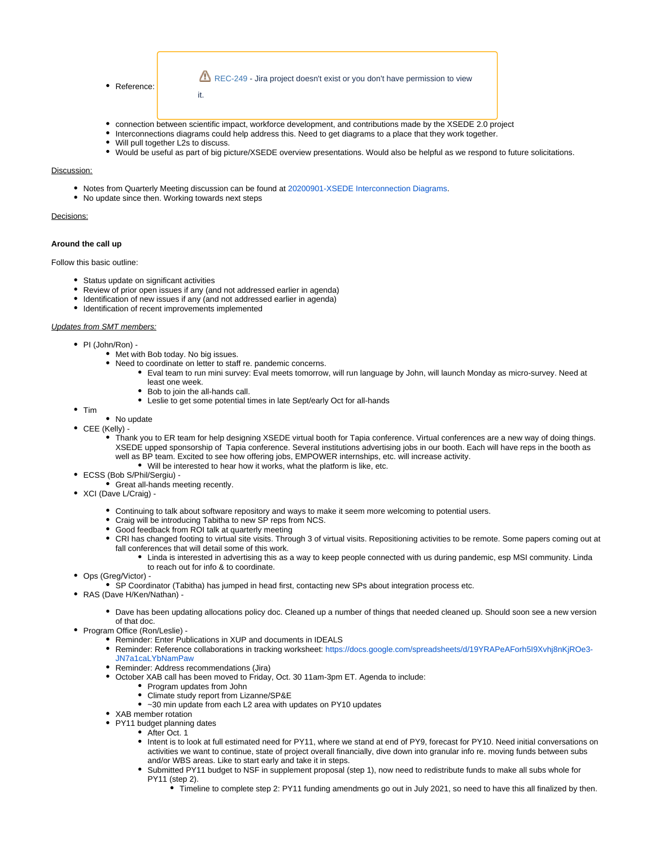

- connection between scientific impact, workforce development, and contributions made by the XSEDE 2.0 project
- Interconnections diagrams could help address this. Need to get diagrams to a place that they work together.
- Will pull together L2s to discuss.
- Would be useful as part of big picture/XSEDE overview presentations. Would also be helpful as we respond to future solicitations.

# Discussion:

- Notes from Quarterly Meeting discussion can be found at [20200901-XSEDE Interconnection Diagrams](https://confluence.xsede.org/display/XT/20200901-XSEDE+Interconnection+Diagrams).
- No update since then. Working towards next steps

#### Decisions:

#### **Around the call up**

#### Follow this basic outline:

- Status update on significant activities
- Review of prior open issues if any (and not addressed earlier in agenda)
- Identification of new issues if any (and not addressed earlier in agenda)
- $\bullet$  Identification of recent improvements implemented

#### Updates from SMT members:

- PI (John/Ron) -
	- Met with Bob today. No big issues.
	- Need to coordinate on letter to staff re. pandemic concerns.
		- Eval team to run mini survey: Eval meets tomorrow, will run language by John, will launch Monday as micro-survey. Need at least one week.
		- $\bullet$ Bob to join the all-hands call.
		- Leslie to get some potential times in late Sept/early Oct for all-hands
- $•$  Tim
- No update
- CEE (Kelly)
	- Thank you to ER team for help designing XSEDE virtual booth for Tapia conference. Virtual conferences are a new way of doing things. XSEDE upped sponsorship of Tapia conference. Several institutions advertising jobs in our booth. Each will have reps in the booth as well as BP team. Excited to see how offering jobs, EMPOWER internships, etc. will increase activity.
		- Will be interested to hear how it works, what the platform is like, etc.
- ECSS (Bob S/Phil/Sergiu) -
- **Great all-hands meeting recently.**
- XCI (Dave L/Craig)
	- Continuing to talk about software repository and ways to make it seem more welcoming to potential users.
	- Craig will be introducing Tabitha to new SP reps from NCS.
	- Good feedback from ROI talk at quarterly meeting
	- CRI has changed footing to virtual site visits. Through 3 of virtual visits. Repositioning activities to be remote. Some papers coming out at fall conferences that will detail some of this work.
		- Linda is interested in advertising this as a way to keep people connected with us during pandemic, esp MSI community. Linda to reach out for info & to coordinate.
- Ops (Greg/Victor) -
- SP Coordinator (Tabitha) has jumped in head first, contacting new SPs about integration process etc.
- RAS (Dave H/Ken/Nathan)
	- Dave has been updating allocations policy doc. Cleaned up a number of things that needed cleaned up. Should soon see a new version of that doc.
- Program Office (Ron/Leslie) -
	- Reminder: Enter Publications in XUP and documents in IDEALS
	- Reminder: Reference collaborations in tracking worksheet: [https://docs.google.com/spreadsheets/d/19YRAPeAForh5I9Xvhj8nKjROe3-](https://docs.google.com/spreadsheets/d/19YRAPeAForh5I9Xvhj8nKjROe3-JN7a1caLYbNamPaw) [JN7a1caLYbNamPaw](https://docs.google.com/spreadsheets/d/19YRAPeAForh5I9Xvhj8nKjROe3-JN7a1caLYbNamPaw)
	- Reminder: Address recommendations (Jira)
	- October XAB call has been moved to Friday, Oct. 30 11am-3pm ET. Agenda to include:
		- Program updates from John
		- Climate study report from Lizanne/SP&E
		- ~30 min update from each L2 area with updates on PY10 updates
	- XAB member rotation
	- PY11 budget planning dates
		- After Oct. 1
			- Intent is to look at full estimated need for PY11, where we stand at end of PY9, forecast for PY10. Need initial conversations on activities we want to continue, state of project overall financially, dive down into granular info re. moving funds between subs and/or WBS areas. Like to start early and take it in steps.
			- Submitted PY11 budget to NSF in supplement proposal (step 1), now need to redistribute funds to make all subs whole for PY11 (step 2).
				- Timeline to complete step 2: PY11 funding amendments go out in July 2021, so need to have this all finalized by then.